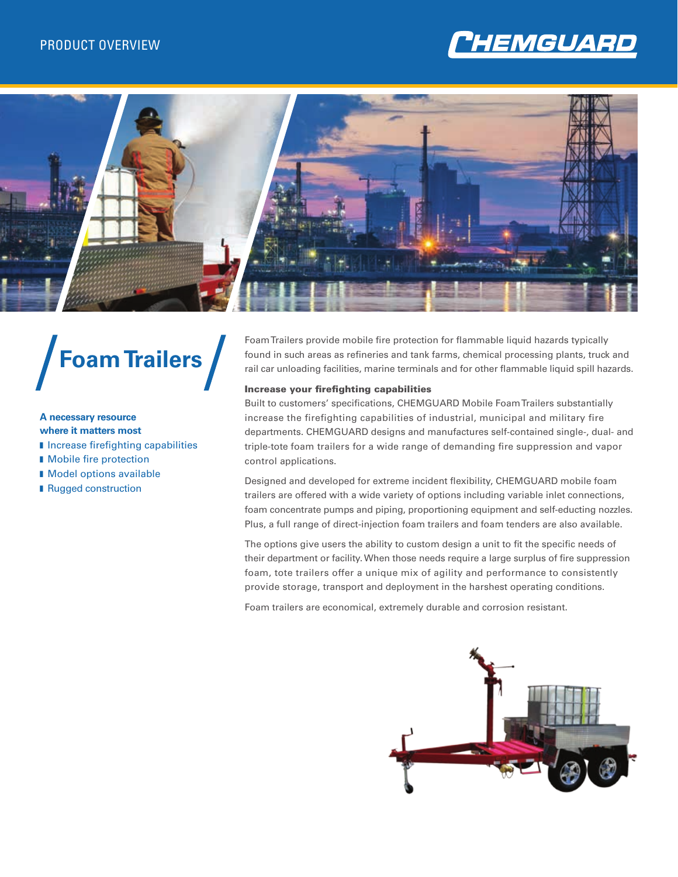



# **Foam Trailers**

# **A necessary resource**

### **where it matters most**

- **I** Increase firefighting capabilities
- **n** Mobile fire protection
- **n** Model options available
- **Rugged construction**

Foam Trailers provide mobile fire protection for flammable liquid hazards typically found in such areas as refineries and tank farms, chemical processing plants, truck and rail car unloading facilities, marine terminals and for other flammable liquid spill hazards.

### Increase your firefighting capabilities

Built to customers' specifications, CHEMGUARD Mobile Foam Trailers substantially increase the firefighting capabilities of industrial, municipal and military fire departments. CHEMGUARD designs and manufactures self-contained single-, dual- and triple-tote foam trailers for a wide range of demanding fire suppression and vapor control applications.

Designed and developed for extreme incident flexibility, CHEMGUARD mobile foam trailers are offered with a wide variety of options including variable inlet connections, foam concentrate pumps and piping, proportioning equipment and self-educting nozzles. Plus, a full range of direct-injection foam trailers and foam tenders are also available.

The options give users the ability to custom design a unit to fit the specific needs of their department or facility. When those needs require a large surplus of fire suppression foam, tote trailers offer a unique mix of agility and performance to consistently provide storage, transport and deployment in the harshest operating conditions.

Foam trailers are economical, extremely durable and corrosion resistant.